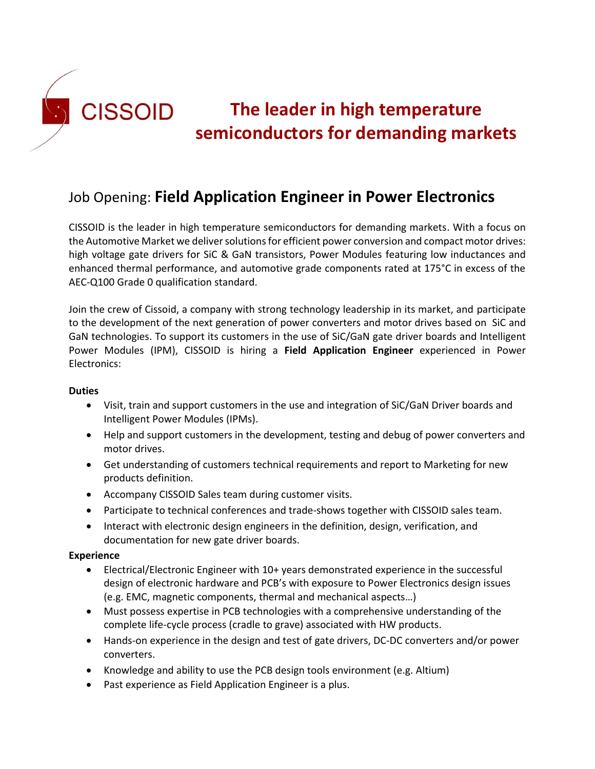

# **The leader in high temperature semiconductors for demanding markets**

## Job Opening: **Field Application Engineer in Power Electronics**

CISSOID is the leader in high temperature semiconductors for demanding markets. With a focus on the Automotive Market we deliver solutions for efficient power conversion and compact motor drives: high voltage gate drivers for SiC & GaN transistors, Power Modules featuring low inductances and enhanced thermal performance, and automotive grade components rated at 175°C in excess of the AEC-Q100 Grade 0 qualification standard.

Join the crew of Cissoid, a company with strong technology leadership in its market, and participate to the development of the next generation of power converters and motor drives based on SiC and GaN technologies. To support its customers in the use of SiC/GaN gate driver boards and Intelligent Power Modules (IPM), CISSOID is hiring a **Field Application Engineer** experienced in Power Electronics:

#### **Duties**

- Visit, train and support customers in the use and integration of SiC/GaN Driver boards and Intelligent Power Modules (IPMs).
- Help and support customers in the development, testing and debug of power converters and motor drives.
- Get understanding of customers technical requirements and report to Marketing for new products definition.
- Accompany CISSOID Sales team during customer visits.
- Participate to technical conferences and trade-shows together with CISSOID sales team.
- Interact with electronic design engineers in the definition, design, verification, and documentation for new gate driver boards.

#### **Experience**

- Electrical/Electronic Engineer with 10+ years demonstrated experience in the successful design of electronic hardware and PCB's with exposure to Power Electronics design issues (e.g. EMC, magnetic components, thermal and mechanical aspects…)
- Must possess expertise in PCB technologies with a comprehensive understanding of the complete life-cycle process (cradle to grave) associated with HW products.
- Hands-on experience in the design and test of gate drivers, DC-DC converters and/or power converters.
- Knowledge and ability to use the PCB design tools environment (e.g. Altium)
- Past experience as Field Application Engineer is a plus.